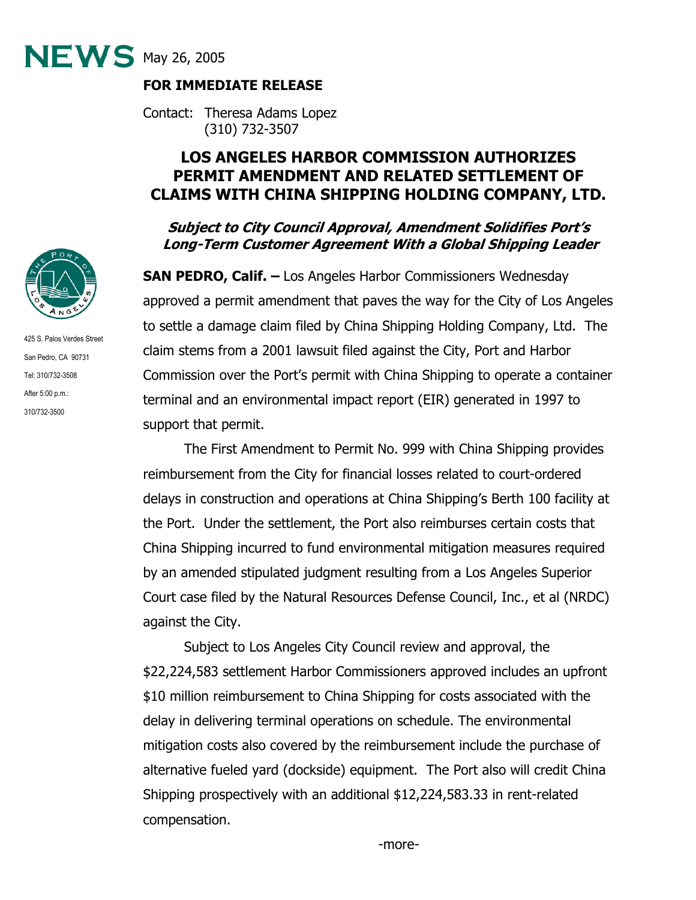

## **FOR IMMEDIATE RELEASE**

Contact: Theresa Adams Lopez (310) 732-3507

## **LOS ANGELES HARBOR COMMISSION AUTHORIZES PERMIT AMENDMENT AND RELATED SETTLEMENT OF CLAIMS WITH CHINA SHIPPING HOLDING COMPANY, LTD.**

## **Subject to City Council Approval, Amendment Solidifies Port's Long-Term Customer Agreement With a Global Shipping Leader**

**SAN PEDRO, Calif. –** Los Angeles Harbor Commissioners Wednesday approved a permit amendment that paves the way for the City of Los Angeles to settle a damage claim filed by China Shipping Holding Company, Ltd. The claim stems from a 2001 lawsuit filed against the City, Port and Harbor Commission over the Port's permit with China Shipping to operate a container terminal and an environmental impact report (EIR) generated in 1997 to support that permit.

The First Amendment to Permit No. 999 with China Shipping provides reimbursement from the City for financial losses related to court-ordered delays in construction and operations at China Shipping's Berth 100 facility at the Port. Under the settlement, the Port also reimburses certain costs that China Shipping incurred to fund environmental mitigation measures required by an amended stipulated judgment resulting from a Los Angeles Superior Court case filed by the Natural Resources Defense Council, Inc., et al (NRDC) against the City.

Subject to Los Angeles City Council review and approval, the \$22,224,583 settlement Harbor Commissioners approved includes an upfront \$10 million reimbursement to China Shipping for costs associated with the delay in delivering terminal operations on schedule. The environmental mitigation costs also covered by the reimbursement include the purchase of alternative fueled yard (dockside) equipment. The Port also will credit China Shipping prospectively with an additional \$12,224,583.33 in rent-related compensation.



425 S. Palos Verdes Street San Pedro, CA 90731 Tel: 310/732-3508 After 5:00 p.m.: 310/732-3500

-more-